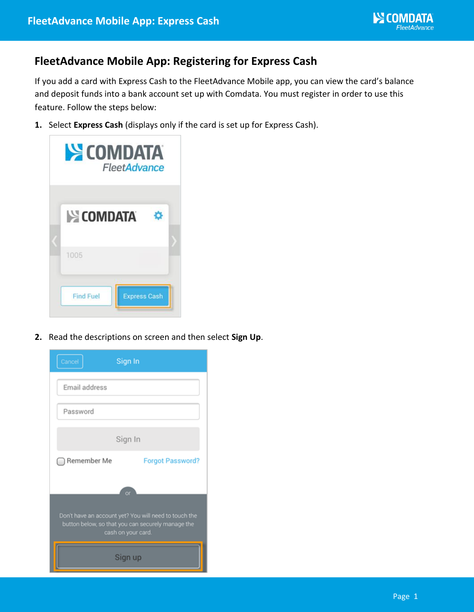## **FleetAdvance Mobile App: Registering for Express Cash**

If you add a card with Express Cash to the FleetAdvance Mobile app, you can view the card's balance and deposit funds into a bank account set up with Comdata. You must register in order to use this feature. Follow the steps below:

**1.** Select **Express Cash** (displays only if the card is set up for Express Cash).

| <b>SECOMDATA</b><br>FleetAdvance        |  |
|-----------------------------------------|--|
| <b>EXECOMDATA</b>                       |  |
| 1005                                    |  |
| <b>Express Cash</b><br><b>Find Fuel</b> |  |

**2.** Read the descriptions on screen and then select **Sign Up**.

| Cancel                                                                                                                           | Sign In                 |  |  |  |
|----------------------------------------------------------------------------------------------------------------------------------|-------------------------|--|--|--|
| Email address                                                                                                                    |                         |  |  |  |
| Password                                                                                                                         |                         |  |  |  |
| Sign In                                                                                                                          |                         |  |  |  |
| Remember Me                                                                                                                      | <b>Forgot Password?</b> |  |  |  |
|                                                                                                                                  | or                      |  |  |  |
| Don't have an account yet? You will need to touch the<br>button below, so that you can securely manage the<br>cash on your card. |                         |  |  |  |
| Sign up                                                                                                                          |                         |  |  |  |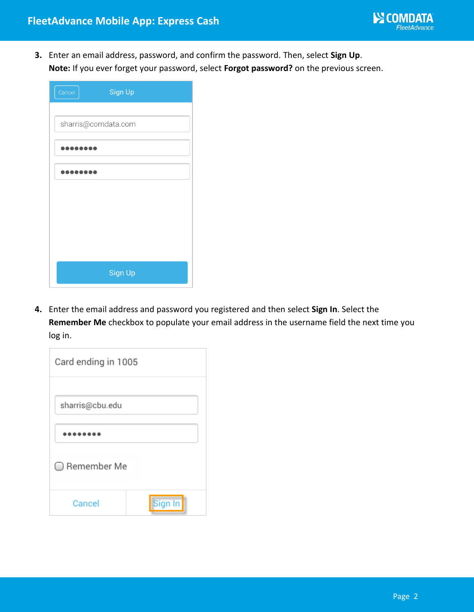

**3.** Enter an email address, password, and confirm the password. Then, select **Sign Up**. **Note:** If you ever forget your password, select **Forgot password?** on the previous screen.

| Sign Up<br>Cancel   |
|---------------------|
|                     |
| sharris@comdata.com |
|                     |
| ,,,,,,,,            |
|                     |
|                     |
|                     |
|                     |
| Sign Up             |

**4.** Enter the email address and password you registered and then select **Sign In**. Select the **Remember Me** checkbox to populate your email address in the username field the next time you log in.

| Card ending in 1005 |         |  |  |  |
|---------------------|---------|--|--|--|
| sharris@cbu.edu     |         |  |  |  |
|                     |         |  |  |  |
| ◯ Remember Me       |         |  |  |  |
| Cancel              | Sign In |  |  |  |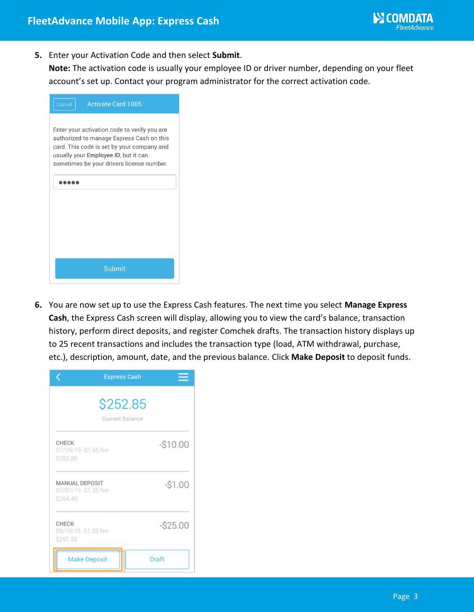

**5.** Enter your Activation Code and then select **Submit**.

**Note:** The activation code is usually your employee ID or driver number, depending on your fleet account's set up. Contact your program administrator for the correct activation code.

| <b>Activate Card 1005</b><br>Cancel                                                                                                                                                                                          |  |  |
|------------------------------------------------------------------------------------------------------------------------------------------------------------------------------------------------------------------------------|--|--|
| Enter your activation code to verify you are<br>authorized to manage Express Cash on this<br>card. This code is set by your company and<br>usually your Employee ID, but it can<br>sometimes be your drivers license number. |  |  |
| Submit                                                                                                                                                                                                                       |  |  |

**6.** You are now set up to use the Express Cash features. The next time you select **Manage Express Cash**, the Express Cash screen will display, allowing you to view the card's balance, transaction history, perform direct deposits, and register Comchek drafts. The transaction history displays up to 25 recent transactions and includes the transaction type (load, ATM withdrawal, purchase, etc.), description, amount, date, and the previous balance. Click **Make Deposit** to deposit funds.

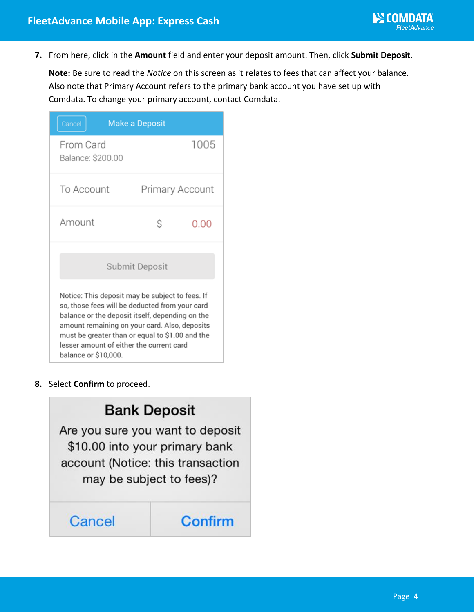

**7.** From here, click in the **Amount** field and enter your deposit amount. Then, click **Submit Deposit**.

**Note:** Be sure to read the *Notice* on this screen as it relates to fees that can affect your balance. Also note that Primary Account refers to the primary bank account you have set up with Comdata. To change your primary account, contact Comdata.

| Cancel                                                                                                                                                                                                                                                                                                                       | <b>Make a Deposit</b> |  |  |  |  |
|------------------------------------------------------------------------------------------------------------------------------------------------------------------------------------------------------------------------------------------------------------------------------------------------------------------------------|-----------------------|--|--|--|--|
| From Card<br>Balance: \$200.00                                                                                                                                                                                                                                                                                               | 1005                  |  |  |  |  |
| To Account                                                                                                                                                                                                                                                                                                                   | Primary Account       |  |  |  |  |
| Amount                                                                                                                                                                                                                                                                                                                       | Ŝ<br>0.00             |  |  |  |  |
| Submit Deposit                                                                                                                                                                                                                                                                                                               |                       |  |  |  |  |
| Notice: This deposit may be subject to fees. If<br>so, those fees will be deducted from your card<br>balance or the deposit itself, depending on the<br>amount remaining on your card. Also, deposits<br>must be greater than or equal to \$1.00 and the<br>lesser amount of either the current card<br>balance or \$10,000. |                       |  |  |  |  |

**8.** Select **Confirm** to proceed.